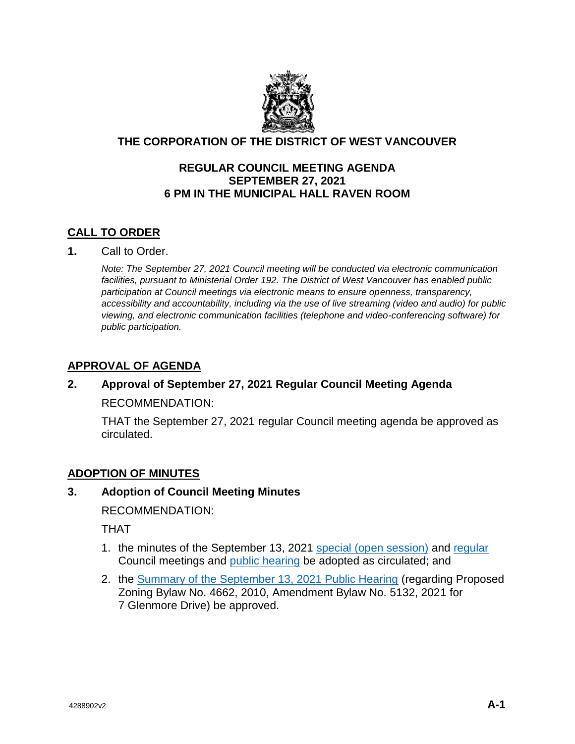

# **THE CORPORATION OF THE DISTRICT OF WEST VANCOUVER**

## **REGULAR COUNCIL MEETING AGENDA SEPTEMBER 27, 2021 6 PM IN THE MUNICIPAL HALL RAVEN ROOM**

# **CALL TO ORDER**

**1.** Call to Order.

*Note: The September 27, 2021 Council meeting will be conducted via electronic communication facilities, pursuant to Ministerial Order 192. The District of West Vancouver has enabled public participation at Council meetings via electronic means to ensure openness, transparency, accessibility and accountability, including via the use of live streaming (video and audio) for public viewing, and electronic communication facilities (telephone and video-conferencing software) for public participation.*

# **APPROVAL OF AGENDA**

# **2. Approval of September 27, 2021 Regular Council Meeting Agenda** RECOMMENDATION:

THAT the September 27, 2021 regular Council meeting agenda be approved as

circulated.

## **ADOPTION OF MINUTES**

## **3. Adoption of Council Meeting Minutes**

RECOMMENDATION:

THAT

- 1. the minutes of the September 13, 2021 [special \(open session\)](https://westvancouver.ca/sites/default/files/dwv/council-agendas/2021/sep/27/21sep27-3a.pdf) and [regular](https://westvancouver.ca/sites/default/files/dwv/council-agendas/2021/sep/27/21sep27-3b.pdf) Council meetings and [public hearing](https://westvancouver.ca/sites/default/files/dwv/council-agendas/2021/sep/27/21sep27-3c.pdf) be adopted as circulated; and
- 2. the [Summary of the September 13, 2021 Public Hearing](https://westvancouver.ca/sites/default/files/dwv/council-agendas/2021/sep/27/21sep27-3d.pdf) (regarding Proposed Zoning Bylaw No. 4662, 2010, Amendment Bylaw No. 5132, 2021 for 7 Glenmore Drive) be approved.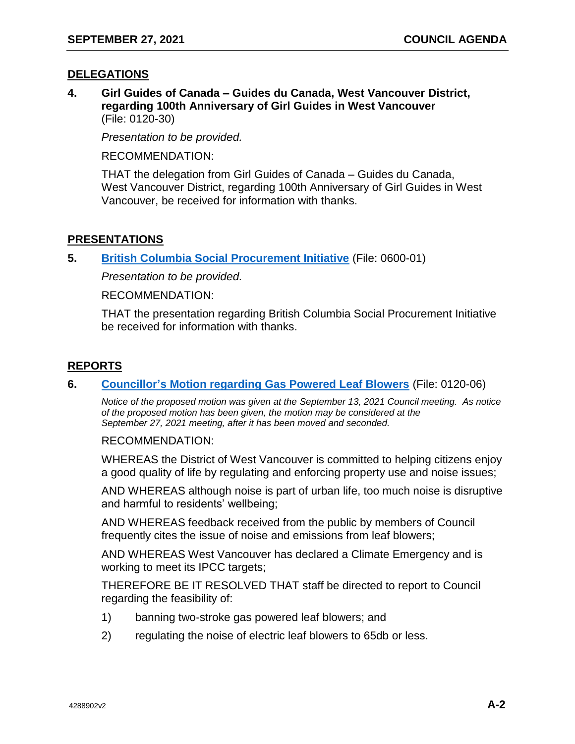### **DELEGATIONS**

**4. Girl Guides of Canada – Guides du Canada, West Vancouver District, regarding 100th Anniversary of Girl Guides in West Vancouver** (File: 0120-30)

*Presentation to be provided.*

RECOMMENDATION:

THAT the delegation from Girl Guides of Canada – Guides du Canada, West Vancouver District, regarding 100th Anniversary of Girl Guides in West Vancouver, be received for information with thanks.

### **PRESENTATIONS**

**5. [British Columbia Social Procurement Initiative](https://westvancouver.ca/sites/default/files/dwv/council-agendas/2021/sep/27/21sep27-5.pdf)** (File: 0600-01)

*Presentation to be provided.*

RECOMMENDATION:

THAT the presentation regarding British Columbia Social Procurement Initiative be received for information with thanks.

## **REPORTS**

#### **6. [Councillor's Motion regarding Gas Powered Leaf Blowers](https://westvancouver.ca/sites/default/files/dwv/council-agendas/2021/sep/27/21sep27-6.pdf)** (File: 0120-06)

*Notice of the proposed motion was given at the September 13, 2021 Council meeting. As notice of the proposed motion has been given, the motion may be considered at the September 27, 2021 meeting, after it has been moved and seconded.* 

RECOMMENDATION:

WHEREAS the District of West Vancouver is committed to helping citizens enjoy a good quality of life by regulating and enforcing property use and noise issues;

AND WHEREAS although noise is part of urban life, too much noise is disruptive and harmful to residents' wellbeing;

AND WHEREAS feedback received from the public by members of Council frequently cites the issue of noise and emissions from leaf blowers;

AND WHEREAS West Vancouver has declared a Climate Emergency and is working to meet its IPCC targets;

THEREFORE BE IT RESOLVED THAT staff be directed to report to Council regarding the feasibility of:

- 1) banning two-stroke gas powered leaf blowers; and
- 2) regulating the noise of electric leaf blowers to 65db or less.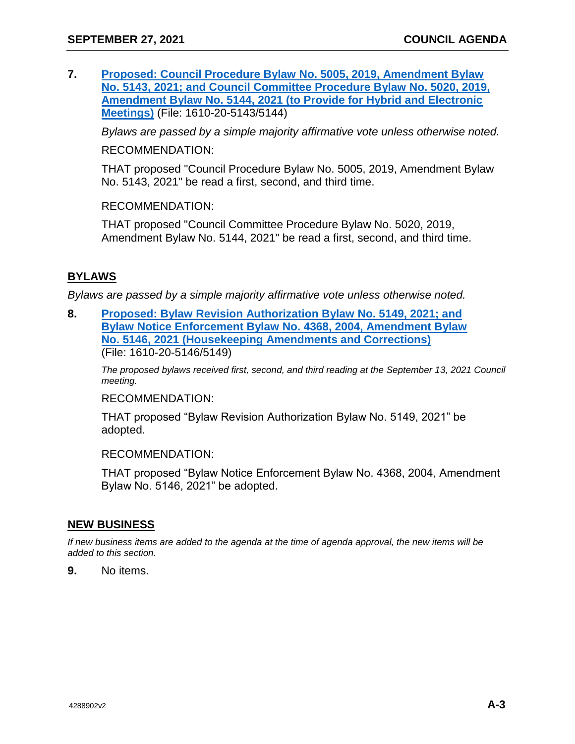**7. [Proposed: Council Procedure Bylaw No. 5005, 2019, Amendment Bylaw](https://westvancouver.ca/sites/default/files/dwv/council-agendas/2021/sep/27/21sep27-7.pdf)  [No. 5143, 2021; and Council Committee Procedure Bylaw No. 5020, 2019,](https://westvancouver.ca/sites/default/files/dwv/council-agendas/2021/sep/27/21sep27-7.pdf)  [Amendment Bylaw No. 5144, 2021 \(to Provide for Hybrid and Electronic](https://westvancouver.ca/sites/default/files/dwv/council-agendas/2021/sep/27/21sep27-7.pdf)  [Meetings\)](https://westvancouver.ca/sites/default/files/dwv/council-agendas/2021/sep/27/21sep27-7.pdf)** (File: 1610-20-5143/5144)

*Bylaws are passed by a simple majority affirmative vote unless otherwise noted.*

RECOMMENDATION:

THAT proposed "Council Procedure Bylaw No. 5005, 2019, Amendment Bylaw No. 5143, 2021" be read a first, second, and third time.

RECOMMENDATION:

THAT proposed "Council Committee Procedure Bylaw No. 5020, 2019, Amendment Bylaw No. 5144, 2021" be read a first, second, and third time.

# **BYLAWS**

*Bylaws are passed by a simple majority affirmative vote unless otherwise noted.* 

**8. [Proposed: Bylaw Revision Authorization Bylaw No. 5149, 2021; and](https://westvancouver.ca/sites/default/files/dwv/council-agendas/2021/sep/27/21sep27-8.pdf)  [Bylaw Notice Enforcement Bylaw No. 4368, 2004, Amendment Bylaw](https://westvancouver.ca/sites/default/files/dwv/council-agendas/2021/sep/27/21sep27-8.pdf)  [No. 5146, 2021 \(Housekeeping Amendments and Corrections\)](https://westvancouver.ca/sites/default/files/dwv/council-agendas/2021/sep/27/21sep27-8.pdf)** (File: 1610-20-5146/5149)

*The proposed bylaws received first, second, and third reading at the September 13, 2021 Council meeting.*

RECOMMENDATION:

THAT proposed "Bylaw Revision Authorization Bylaw No. 5149, 2021" be adopted.

RECOMMENDATION:

THAT proposed "Bylaw Notice Enforcement Bylaw No. 4368, 2004, Amendment Bylaw No. 5146, 2021" be adopted.

#### **NEW BUSINESS**

*If new business items are added to the agenda at the time of agenda approval, the new items will be added to this section.*

**9.** No items.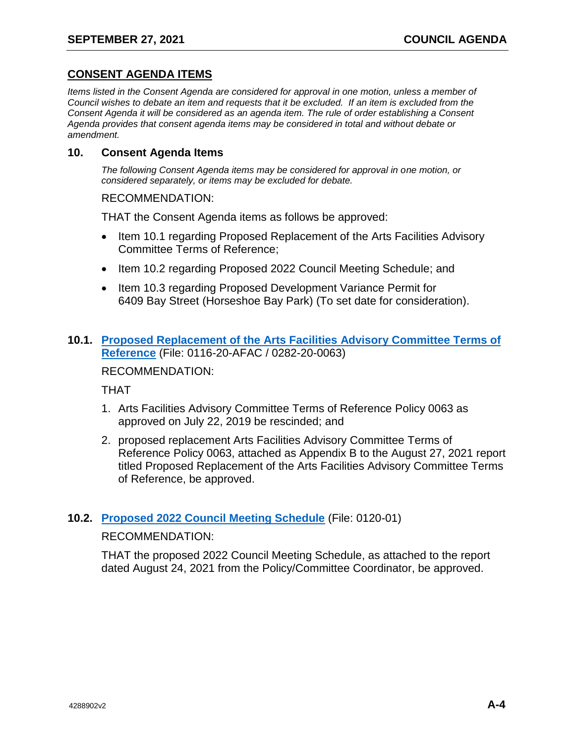# **CONSENT AGENDA ITEMS**

*Items listed in the Consent Agenda are considered for approval in one motion, unless a member of Council wishes to debate an item and requests that it be excluded. If an item is excluded from the Consent Agenda it will be considered as an agenda item. The rule of order establishing a Consent Agenda provides that consent agenda items may be considered in total and without debate or amendment.*

#### **10. Consent Agenda Items**

*The following Consent Agenda items may be considered for approval in one motion, or considered separately, or items may be excluded for debate.*

RECOMMENDATION:

THAT the Consent Agenda items as follows be approved:

- Item 10.1 regarding Proposed Replacement of the Arts Facilities Advisory Committee Terms of Reference;
- Item 10.2 regarding Proposed 2022 Council Meeting Schedule; and
- Item 10.3 regarding Proposed Development Variance Permit for 6409 Bay Street (Horseshoe Bay Park) (To set date for consideration).

# **10.1. [Proposed Replacement of the Arts Facilities Advisory Committee Terms of](https://westvancouver.ca/sites/default/files/dwv/council-agendas/2021/sep/27/21sep27-10.1.pdf)  [Reference](https://westvancouver.ca/sites/default/files/dwv/council-agendas/2021/sep/27/21sep27-10.1.pdf)** (File: 0116-20-AFAC / 0282-20-0063)

RECOMMENDATION:

THAT

- 1. Arts Facilities Advisory Committee Terms of Reference Policy 0063 as approved on July 22, 2019 be rescinded; and
- 2. proposed replacement Arts Facilities Advisory Committee Terms of Reference Policy 0063, attached as Appendix B to the August 27, 2021 report titled Proposed Replacement of the Arts Facilities Advisory Committee Terms of Reference, be approved.

#### **10.2. [Proposed 2022 Council Meeting Schedule](https://westvancouver.ca/sites/default/files/dwv/council-agendas/2021/sep/27/21sep27-10.2.pdf)** (File: 0120-01)

#### RECOMMENDATION:

THAT the proposed 2022 Council Meeting Schedule, as attached to the report dated August 24, 2021 from the Policy/Committee Coordinator, be approved.